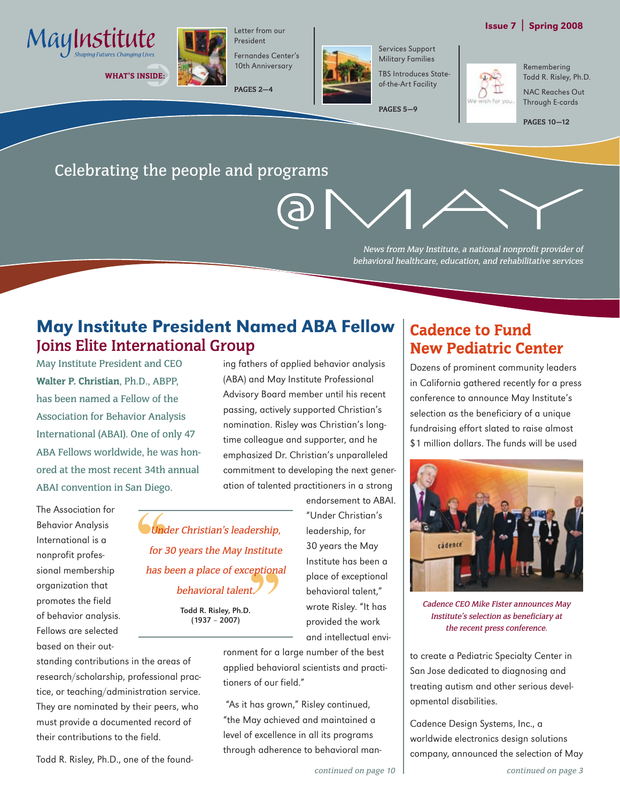



WHAT'S INSIDE:



Fernandes Center's 10th Anniversary

Letter from our President

**PAGES 2—4**



Military Families TBS Introduces Stateof-the-Art Facility

Services Support

**PAGES 5—9**

Remembering Todd R. Risley, Ph.D. NAC Reaches Out

> Through E-cards **PAGES 10—12**

## Celebrating the people and programs

News from May Institute, a national nonprofit provider of behavioral healthcare, education, and rehabilitative services

## May Institute President Named ABA Fellow **Joins Elite International Group**

May Institute President and CEO Walter P. Christian, Ph.D., ABPP, has been named a Fellow of the Association for Behavior Analysis International (ABAI). One of only 47 ABA Fellows worldwide, he was honored at the most recent 34th annual ABAI convention in San Diego.

The Association for Behavior Analysis International is a nonprofit professional membership organization that promotes the field of behavior analysis. Fellows are selected based on their out-

standing contributions in the areas of research/scholarship, professional practice, or teaching/administration service. They are nominated by their peers, who must provide a documented record of their contributions to the field.

Todd R. Risley, Ph.D., one of the found-

ing fathers of applied behavior analysis (ABA) and May Institute Professional Advisory Board member until his recent passing, actively supported Christian's nomination. Risley was Christian's longtime colleague and supporter, and he emphasized Dr. Christian's unparalleled commitment to developing the next generation of talented practitioners in a strong

Under Christian's leadership, for 30 years the May Institute has been a place of exceptional behavioral talent.

> Todd R. Risley, Ph.D. (1937 – 2007)

endorsement to ABAI. "Under Christian's leadership, for 30 years the May Institute has been a place of exceptional behavioral talent," wrote Risley. "It has provided the work and intellectual envi-

ronment for a large number of the best applied behavioral scientists and practitioners of our field."

 "As it has grown," Risley continued, "the May achieved and maintained a level of excellence in all its programs through adherence to behavioral man-

## Cadence to Fund New Pediatric Center

Dozens of prominent community leaders in California gathered recently for a press conference to announce May Institute's selection as the beneficiary of a unique fundraising effort slated to raise almost \$1 million dollars. The funds will be used



Cadence CEO Mike Fister announces May Institute's selection as beneficiary at the recent press conference.

to create a Pediatric Specialty Center in San Jose dedicated to diagnosing and treating autism and other serious developmental disabilities.

Cadence Design Systems, Inc., a worldwide electronics design solutions company, announced the selection of May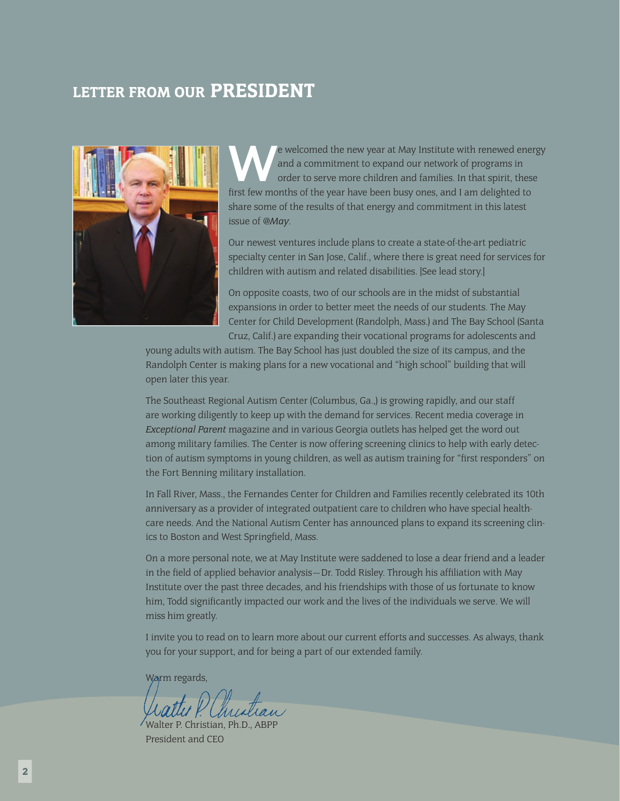## LETTER FROM OUR PRESIDENT



e welcomed the new year at May Institute with renewed energy<br>and a commitment to expand our network of programs in<br>order to serve more children and families. In that spirit, these<br>first fou months of the vear have been hun and a commitment to expand our network of programs in order to serve more children and families. In that spirit, these first few months of the year have been busy ones, and I am delighted to share some of the results of that energy and commitment in this latest issue of *@May*.

Our newest ventures include plans to create a state-of-the-art pediatric specialty center in San Jose, Calif., where there is great need for services for children with autism and related disabilities. [See lead story.]

On opposite coasts, two of our schools are in the midst of substantial expansions in order to better meet the needs of our students. The May Center for Child Development (Randolph, Mass.) and The Bay School (Santa Cruz, Calif.) are expanding their vocational programs for adolescents and

young adults with autism. The Bay School has just doubled the size of its campus, and the Randolph Center is making plans for a new vocational and "high school" building that will open later this year.

The Southeast Regional Autism Center (Columbus, Ga.,) is growing rapidly, and our staff are working diligently to keep up with the demand for services. Recent media coverage in *Exceptional Parent* magazine and in various Georgia outlets has helped get the word out among military families. The Center is now offering screening clinics to help with early detection of autism symptoms in young children, as well as autism training for "first responders" on the Fort Benning military installation.

In Fall River, Mass., the Fernandes Center for Children and Families recently celebrated its 10th anniversary as a provider of integrated outpatient care to children who have special healthcare needs. And the National Autism Center has announced plans to expand its screening clinics to Boston and West Springfield, Mass.

On a more personal note, we at May Institute were saddened to lose a dear friend and a leader in the field of applied behavior analysis—Dr. Todd Risley. Through his affiliation with May Institute over the past three decades, and his friendships with those of us fortunate to know him, Todd significantly impacted our work and the lives of the individuals we serve. We will miss him greatly.

I invite you to read on to learn more about our current efforts and successes. As always, thank you for your support, and for being a part of our extended family.

Warm regards,

Walter P. Christian, Ph.D., ABPP President and CEO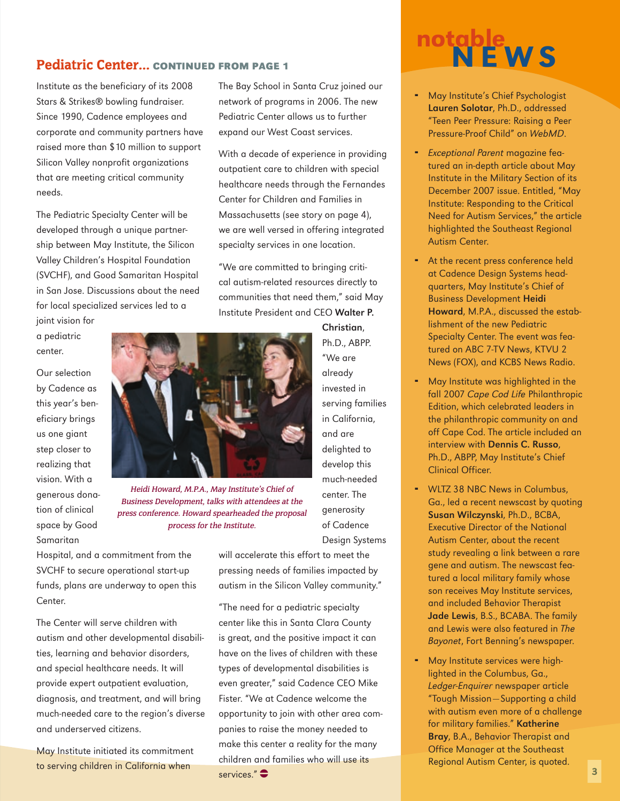Institute as the beneficiary of its 2008 Stars & Strikes® bowling fundraiser. Since 1990, Cadence employees and corporate and community partners have raised more than \$10 million to support Silicon Valley nonprofit organizations that are meeting critical community needs.

The Pediatric Specialty Center will be developed through a unique partnership between May Institute, the Silicon Valley Children's Hospital Foundation (SVCHF), and Good Samaritan Hospital in San Jose. Discussions about the need for local specialized services led to a joint vision for

a pediatric center.

Our selection by Cadence as this year's beneficiary brings us one giant step closer to realizing that vision. With a generous donation of clinical space by Good Samaritan



Heidi Howard, M.P.A., May Institute's Chief of Business Development, talks with attendees at the press conference. Howard spearheaded the proposal process for the Institute.

Hospital, and a commitment from the SVCHF to secure operational start-up funds, plans are underway to open this Center.

The Center will serve children with autism and other developmental disabilities, learning and behavior disorders, and special healthcare needs. It will provide expert outpatient evaluation, diagnosis, and treatment, and will bring much-needed care to the region's diverse and underserved citizens.

May Institute initiated its commitment to serving children in California when

The Bay School in Santa Cruz joined our network of programs in 2006. The new Pediatric Center allows us to further expand our West Coast services.

With a decade of experience in providing outpatient care to children with special healthcare needs through the Fernandes Center for Children and Families in Massachusetts (see story on page 4), we are well versed in offering integrated specialty services in one location.

"We are committed to bringing critical autism-related resources directly to communities that need them," said May Institute President and CEO Walter P.

> Christian, Ph.D., ABPP. "We are already invested in serving families in California, and are delighted to develop this much-needed center. The generosity of Cadence

Design Systems

will accelerate this effort to meet the pressing needs of families impacted by autism in the Silicon Valley community."

"The need for a pediatric specialty center like this in Santa Clara County is great, and the positive impact it can have on the lives of children with these types of developmental disabilities is even greater," said Cadence CEO Mike Fister. "We at Cadence welcome the opportunity to join with other area companies to raise the money needed to make this center a reality for the many children and families who will use its services." $\bullet$ 



- May Institute's Chief Psychologist Lauren Solotar, Ph.D., addressed "Teen Peer Pressure: Raising a Peer Pressure-Proof Child" on WebMD. ¨
- **Exceptional Parent magazine fea**tured an in-depth article about May Institute in the Military Section of its December 2007 issue. Entitled, "May Institute: Responding to the Critical Need for Autism Services," the article highlighted the Southeast Regional Autism Center.
- At the recent press conference held at Cadence Design Systems headquarters, May Institute's Chief of Business Development Heidi Howard, M.P.A., discussed the establishment of the new Pediatric Specialty Center. The event was featured on ABC 7-TV News, KTVU 2 News (FOX), and KCBS News Radio.
- May Institute was highlighted in the fall 2007 Cape Cod Life Philanthropic Edition, which celebrated leaders in the philanthropic community on and off Cape Cod. The article included an interview with Dennis C. Russo, Ph.D., ABPP, May Institute's Chief Clinical Officer. ¨
- WLTZ 38 NBC News in Columbus, Ga., led a recent newscast by quoting Susan Wilczynski, Ph.D., BCBA, Executive Director of the National Autism Center, about the recent study revealing a link between a rare gene and autism. The newscast featured a local military family whose son receives May Institute services, and included Behavior Therapist Jade Lewis, B.S., BCABA. The family and Lewis were also featured in The Bayonet, Fort Benning's newspaper.
- May Institute services were highlighted in the Columbus, Ga., Ledger-Enquirer newspaper article "Tough Mission—Supporting a child with autism even more of a challenge for military families." Katherine Bray, B.A., Behavior Therapist and Office Manager at the Southeast Regional Autism Center, is quoted. ¨

 $\overline{3}$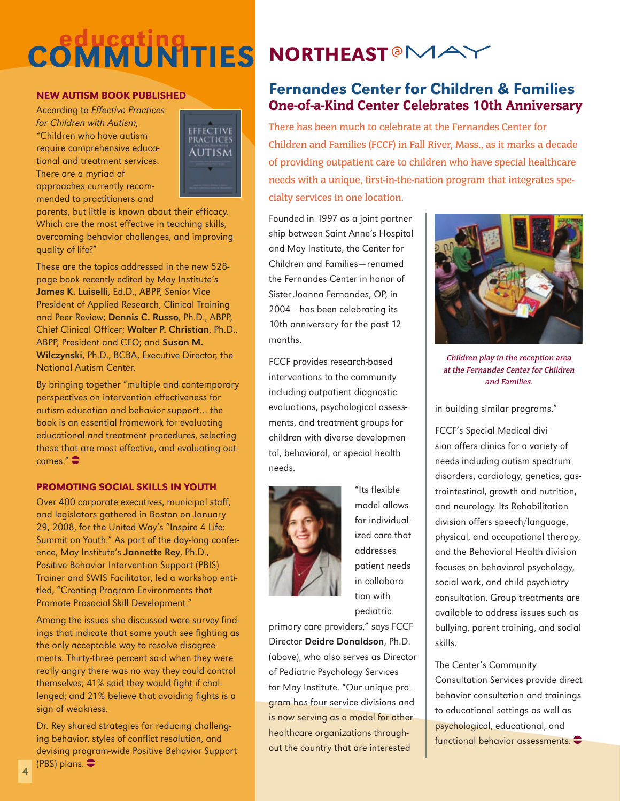# COMMUNITIES NORTHEAST<sup>OMAY</sup>

#### New Autism Book published

According to Effective Practices for Children with Autism, "Children who have autism require comprehensive educational and treatment services. There are a myriad of approaches currently recommended to practitioners and



parents, but little is known about their efficacy. Which are the most effective in teaching skills, overcoming behavior challenges, and improving quality of life?"

These are the topics addressed in the new 528 page book recently edited by May Institute's James K. Luiselli, Ed.D., ABPP, Senior Vice President of Applied Research, Clinical Training and Peer Review; Dennis C. Russo, Ph.D., ABPP, Chief Clinical Officer; Walter P. Christian, Ph.D., ABPP, President and CEO; and Susan M. Wilczynski, Ph.D., BCBA, Executive Director, the National Autism Center.

By bringing together "multiple and contemporary perspectives on intervention effectiveness for autism education and behavior support… the book is an essential framework for evaluating educational and treatment procedures, selecting those that are most effective, and evaluating out $comes.$ " $\bullet$ 

#### Promoting Social Skills in Youth

Over 400 corporate executives, municipal staff, and legislators gathered in Boston on January 29, 2008, for the United Way's "Inspire 4 Life: Summit on Youth." As part of the day-long conference, May Institute's Jannette Rey, Ph.D., Positive Behavior Intervention Support (PBIS) Trainer and SWIS Facilitator, led a workshop entitled, "Creating Program Environments that Promote Prosocial Skill Development."

Among the issues she discussed were survey findings that indicate that some youth see fighting as the only acceptable way to resolve disagreements. Thirty-three percent said when they were really angry there was no way they could control themselves; 41% said they would fight if challenged; and 21% believe that avoiding fights is a sign of weakness.

Dr. Rey shared strategies for reducing challenging behavior, styles of conflict resolution, and devising program-wide Positive Behavior Support (PBS) plans.  $\bullet$ 

### Fernandes Center for Children & Families One-of-a-Kind Center Celebrates 10th Anniversary

There has been much to celebrate at the Fernandes Center for Children and Families (FCCF) in Fall River, Mass., as it marks a decade of providing outpatient care to children who have special healthcare needs with a unique, first-in-the-nation program that integrates specialty services in one location.

Founded in 1997 as a joint partnership between Saint Anne's Hospital and May Institute, the Center for Children and Families—renamed the Fernandes Center in honor of Sister Joanna Fernandes, OP, in 2004—has been celebrating its 10th anniversary for the past 12 months.

FCCF provides research-based interventions to the community including outpatient diagnostic evaluations, psychological assessments, and treatment groups for children with diverse developmental, behavioral, or special health needs.



"Its flexible model allows for individualized care that addresses patient needs in collaboration with pediatric

primary care providers," says FCCF Director Deidre Donaldson, Ph.D. (above), who also serves as Director of Pediatric Psychology Services for May Institute. "Our unique program has four service divisions and is now serving as a model for other healthcare organizations throughout the country that are interested



Children play in the reception area at the Fernandes Center for Children and Families.

in building similar programs."

FCCF's Special Medical division offers clinics for a variety of needs including autism spectrum disorders, cardiology, genetics, gastrointestinal, growth and nutrition, and neurology. Its Rehabilitation division offers speech/language, physical, and occupational therapy, and the Behavioral Health division focuses on behavioral psychology, social work, and child psychiatry consultation. Group treatments are available to address issues such as bullying, parent training, and social skills.

#### The Center's Community

Consultation Services provide direct behavior consultation and trainings to educational settings as well as psychological, educational, and functional behavior assessments.  $\bullet$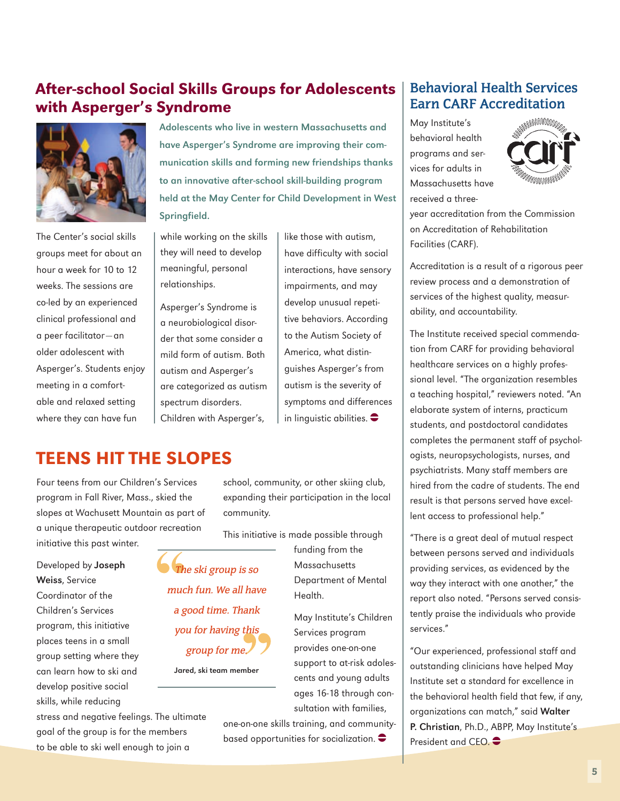## After-school Social Skills Groups for Adolescents with Asperger's Syndrome



The Center's social skills groups meet for about an hour a week for 10 to 12 weeks. The sessions are co-led by an experienced clinical professional and a peer facilitator—an older adolescent with Asperger's. Students enjoy meeting in a comfortable and relaxed setting where they can have fun

Adolescents who live in western Massachusetts and have Asperger's Syndrome are improving their communication skills and forming new friendships thanks to an innovative after-school skill-building program held at the May Center for Child Development in West Springfield.

while working on the skills they will need to develop meaningful, personal relationships.

Asperger's Syndrome is a neurobiological disorder that some consider a mild form of autism. Both autism and Asperger's are categorized as autism spectrum disorders. Children with Asperger's,

like those with autism, have difficulty with social interactions, have sensory impairments, and may develop unusual repetitive behaviors. According to the Autism Society of America, what distinguishes Asperger's from autism is the severity of symptoms and differences in linguistic abilities.  $\bullet$ 

## Teens Hit the Slopes

Four teens from our Children's Services program in Fall River, Mass., skied the slopes at Wachusett Mountain as part of a unique therapeutic outdoor recreation initiative this past winter.

Developed by Joseph Weiss, Service Coordinator of the Children's Services program, this initiative places teens in a small group setting where they can learn how to ski and develop positive social skills, while reducing

stress and negative feelings. The ultimate goal of the group is for the members to be able to ski well enough to join a

school, community, or other skiing club, expanding their participation in the local community.

This initiative is made possible through

The ski group is so much fun. We all have a good time. Thank you for having this group for me. Jared, ski team member

**Massachusetts** Department of Mental Health. May Institute's Children Services program

funding from the

provides one-on-one support to at-risk adolescents and young adults ages 16-18 through consultation with families,

one-on-one skills training, and communitybased opportunities for socialization.  $\bullet$ 

### **Behavioral Health Services Earn CARF Accreditation**

May Institute's behavioral health programs and services for adults in Massachusetts have received a three-



year accreditation from the Commission on Accreditation of Rehabilitation Facilities (CARF).

Accreditation is a result of a rigorous peer review process and a demonstration of services of the highest quality, measurability, and accountability.

The Institute received special commendation from CARF for providing behavioral healthcare services on a highly professional level. "The organization resembles a teaching hospital," reviewers noted. "An elaborate system of interns, practicum students, and postdoctoral candidates completes the permanent staff of psychologists, neuropsychologists, nurses, and psychiatrists. Many staff members are hired from the cadre of students. The end result is that persons served have excellent access to professional help."

"There is a great deal of mutual respect between persons served and individuals providing services, as evidenced by the way they interact with one another," the report also noted. "Persons served consistently praise the individuals who provide services."

"Our experienced, professional staff and outstanding clinicians have helped May Institute set a standard for excellence in the behavioral health field that few, if any, organizations can match," said Walter P. Christian, Ph.D., ABPP, May Institute's President and CEO.  $\bullet$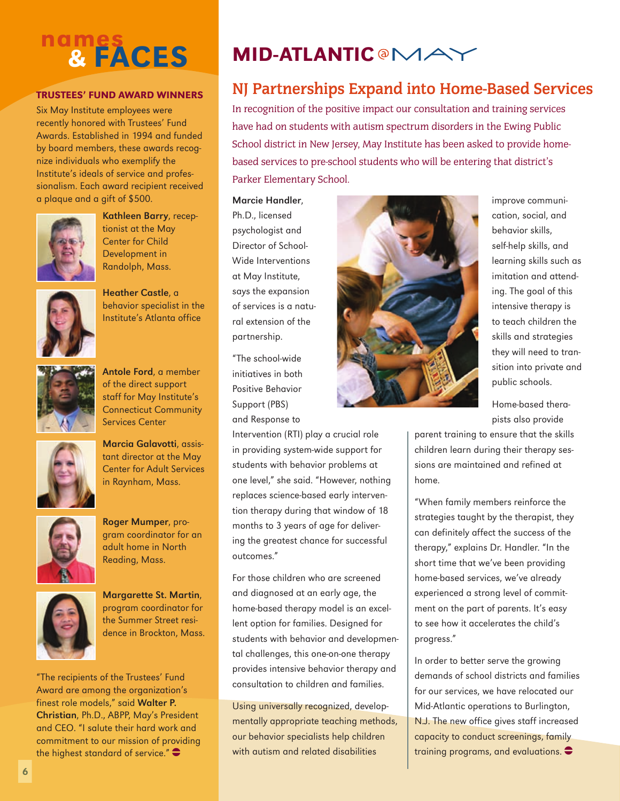## nam<u>es</u> & faces

#### Trustees' Fund Award Winners

Six May Institute employees were recently honored with Trustees' Fund Awards. Established in 1994 and funded by board members, these awards recognize individuals who exemplify the Institute's ideals of service and professionalism. Each award recipient received a plaque and a gift of \$500.



Kathleen Barry, receptionist at the May Center for Child Development in Randolph, Mass.



Heather Castle, a behavior specialist in the Institute's Atlanta office



Antole Ford, a member of the direct support staff for May Institute's Connecticut Community Services Center







Roger Mumper, program coordinator for an adult home in North Reading, Mass.



Margarette St. Martin, program coordinator for the Summer Street residence in Brockton, Mass.

"The recipients of the Trustees' Fund Award are among the organization's finest role models," said Walter P. Christian, Ph.D., ABPP, May's President and CEO. "I salute their hard work and commitment to our mission of providing the highest standard of service." $\bullet$ 

## **MID-ATLANTIC @MAY**

## **NJ Partnerships Expand into Home-Based Services**

In recognition of the positive impact our consultation and training services have had on students with autism spectrum disorders in the Ewing Public School district in New Jersey, May Institute has been asked to provide homebased services to pre-school students who will be entering that district's Parker Elementary School.

#### Marcie Handler,

Ph.D., licensed psychologist and Director of School-Wide Interventions at May Institute, says the expansion of services is a natural extension of the partnership.

"The school-wide initiatives in both Positive Behavior Support (PBS) and Response to

Intervention (RTI) play a crucial role in providing system-wide support for students with behavior problems at one level," she said. "However, nothing replaces science-based early intervention therapy during that window of 18 months to 3 years of age for delivering the greatest chance for successful outcomes."

For those children who are screened and diagnosed at an early age, the home-based therapy model is an excellent option for families. Designed for students with behavior and developmental challenges, this one-on-one therapy provides intensive behavior therapy and consultation to children and families.

Using universally recognized, developmentally appropriate teaching methods, our behavior specialists help children with autism and related disabilities



improve communication, social, and behavior skills, self-help skills, and learning skills such as imitation and attending. The goal of this intensive therapy is to teach children the skills and strategies they will need to transition into private and public schools.

Home-based therapists also provide

parent training to ensure that the skills children learn during their therapy sessions are maintained and refined at home.

"When family members reinforce the strategies taught by the therapist, they can definitely affect the success of the therapy," explains Dr. Handler. "In the short time that we've been providing home-based services, we've already experienced a strong level of commitment on the part of parents. It's easy to see how it accelerates the child's progress."

In order to better serve the growing demands of school districts and families for our services, we have relocated our Mid-Atlantic operations to Burlington, N.J. The new office gives staff increased capacity to conduct screenings, family training programs, and evaluations.  $\bullet$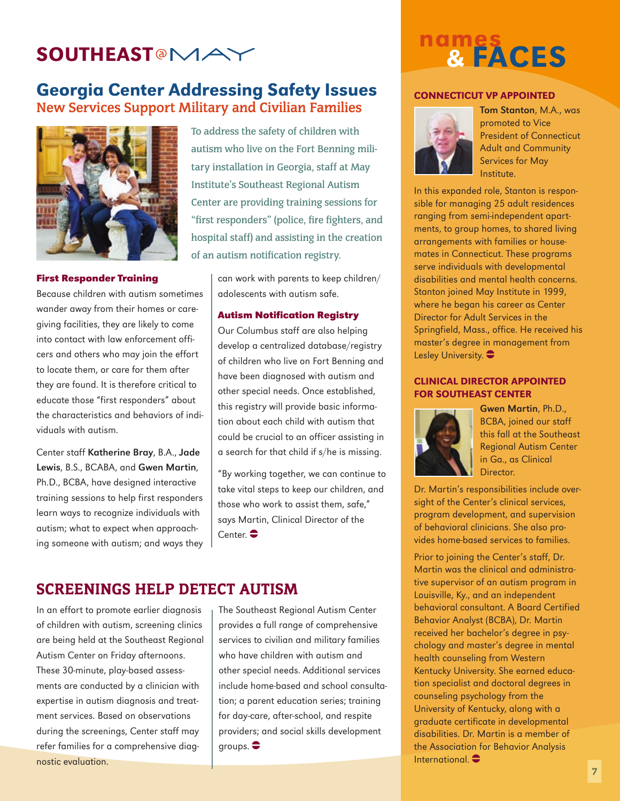## **SOUTHEAST@MAY**

## Georgia Center Addressing Safety Issues **New Services Support Military and Civilian Families**



#### **First Responder Training**

Because children with autism sometimes wander away from their homes or caregiving facilities, they are likely to come into contact with law enforcement officers and others who may join the effort to locate them, or care for them after they are found. It is therefore critical to educate those "first responders" about the characteristics and behaviors of individuals with autism.

Center staff Katherine Bray, B.A., Jade Lewis, B.S., BCABA, and Gwen Martin, Ph.D., BCBA, have designed interactive training sessions to help first responders learn ways to recognize individuals with autism; what to expect when approaching someone with autism; and ways they

To address the safety of children with autism who live on the Fort Benning military installation in Georgia, staff at May Institute's Southeast Regional Autism Center are providing training sessions for "first responders" (police, fire fighters, and hospital staff) and assisting in the creation of an autism notification registry.

> can work with parents to keep children/ adolescents with autism safe.

#### **Autism Notification Registry**

Our Columbus staff are also helping develop a centralized database/registry of children who live on Fort Benning and have been diagnosed with autism and other special needs. Once established, this registry will provide basic information about each child with autism that could be crucial to an officer assisting in a search for that child if s/he is missing.

"By working together, we can continue to take vital steps to keep our children, and those who work to assist them, safe," says Martin, Clinical Director of the  $Center$ 

#### Screenings Help Detect Autism

In an effort to promote earlier diagnosis of children with autism, screening clinics are being held at the Southeast Regional Autism Center on Friday afternoons. These 30-minute, play-based assessments are conducted by a clinician with expertise in autism diagnosis and treatment services. Based on observations during the screenings, Center staff may refer families for a comprehensive diagnostic evaluation.

The Southeast Regional Autism Center provides a full range of comprehensive services to civilian and military families who have children with autism and other special needs. Additional services include home-based and school consultation; a parent education series; training for day-care, after-school, and respite providers; and social skills development groups.  $\bullet$ 

## nam<u>es</u> & faces

#### CONNECTICUT VP APPOINTED



Tom Stanton, M.A., was promoted to Vice President of Connecticut Adult and Community Services for May Institute.

In this expanded role, Stanton is responsible for managing 25 adult residences ranging from semi-independent apartments, to group homes, to shared living arrangements with families or housemates in Connecticut. These programs serve individuals with developmental disabilities and mental health concerns. Stanton joined May Institute in 1999, where he began his career as Center Director for Adult Services in the Springfield, Mass., office. He received his master's degree in management from Lesley University.  $\bullet$ 

#### Clinical Director Appointed for Southeast Center



Gwen Martin, Ph.D., BCBA, joined our staff this fall at the Southeast Regional Autism Center in Ga., as Clinical Director.

Dr. Martin's responsibilities include oversight of the Center's clinical services, program development, and supervision of behavioral clinicians. She also provides home-based services to families.

Prior to joining the Center's staff, Dr. Martin was the clinical and administrative supervisor of an autism program in Louisville, Ky., and an independent behavioral consultant. A Board Certified Behavior Analyst (BCBA), Dr. Martin received her bachelor's degree in psychology and master's degree in mental health counseling from Western Kentucky University. She earned education specialist and doctoral degrees in counseling psychology from the University of Kentucky, along with a graduate certificate in developmental disabilities. Dr. Martin is a member of the Association for Behavior Analysis International  $\bullet$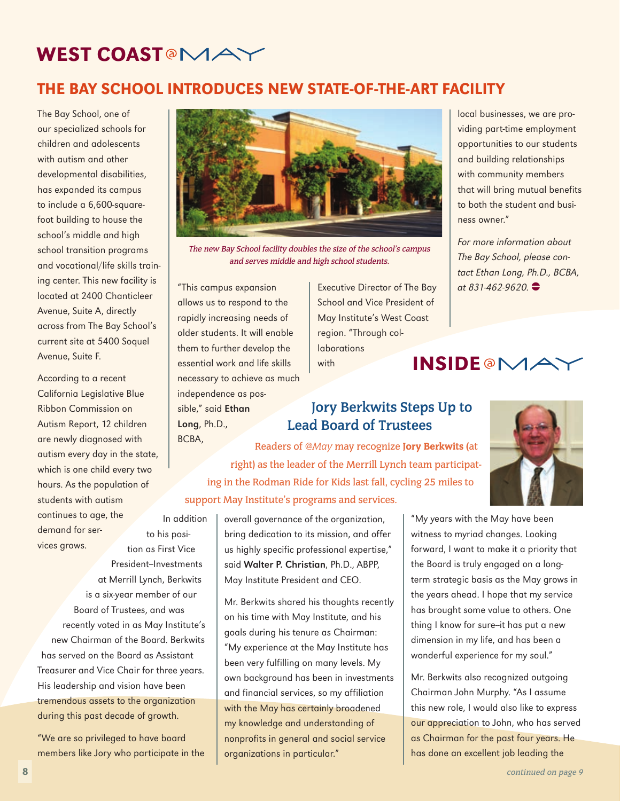## WEST COAST<sup>@</sup>MAY

## the bay school introduces New State-of-the-Art Facility

The Bay School, one of our specialized schools for children and adolescents with autism and other developmental disabilities, has expanded its campus to include a 6,600-squarefoot building to house the school's middle and high school transition programs and vocational/life skills training center. This new facility is located at 2400 Chanticleer Avenue, Suite A, directly across from The Bay School's current site at 5400 Soquel Avenue, Suite F.

According to a recent California Legislative Blue Ribbon Commission on Autism Report, 12 children are newly diagnosed with autism every day in the state, which is one child every two hours. As the population of students with autism continues to age, the demand for services grows. to his posi-

tion as First Vice President-Investments at Merrill Lynch, Berkwits is a six-year member of our Board of Trustees, and was recently voted in as May Institute's new Chairman of the Board. Berkwits has served on the Board as Assistant Treasurer and Vice Chair for three years. His leadership and vision have been tremendous assets to the organization during this past decade of growth.

"We are so privileged to have board members like Jory who participate in the



The new Bay School facility doubles the size of the school's campus and serves middle and high school students.

"This campus expansion allows us to respond to the rapidly increasing needs of older students. It will enable them to further develop the essential work and life skills necessary to achieve as much independence as possible," said Ethan Long, Ph.D.,

In addition

Executive Director of The Bay School and Vice President of May Institute's West Coast region. "Through collaborations with **INSIDE@MAY** 

### **Jory Berkwits Steps Up to Lead Board of Trustees**

BCBA, Readers of *@May* may recognize Jory Berkwits (at right) as the leader of the Merrill Lynch team participating in the Rodman Ride for Kids last fall, cycling 25 miles to support May Institute's programs and services.

> overall governance of the organization, bring dedication to its mission, and offer us highly specific professional expertise," said Walter P. Christian, Ph.D., ABPP,

May Institute President and CEO.

Mr. Berkwits shared his thoughts recently on his time with May Institute, and his goals during his tenure as Chairman: "My experience at the May Institute has been very fulfilling on many levels. My own background has been in investments and financial services, so my affiliation with the May has certainly broadened my knowledge and understanding of nonprofits in general and social service organizations in particular."

local businesses, we are providing part-time employment opportunities to our students and building relationships with community members that will bring mutual benefits to both the student and business owner."

For more information about The Bay School, please contact Ethan Long, Ph.D., BCBA, at 831-462-9620.  $\bullet$ 





"My years with the May have been witness to myriad changes. Looking forward, I want to make it a priority that the Board is truly engaged on a longterm strategic basis as the May grows in the years ahead. I hope that my service has brought some value to others. One thing I know for sure-it has put a new dimension in my life, and has been a wonderful experience for my soul."

Mr. Berkwits also recognized outgoing Chairman John Murphy. "As I assume this new role, I would also like to express our appreciation to John, who has served as Chairman for the past four years. He has done an excellent job leading the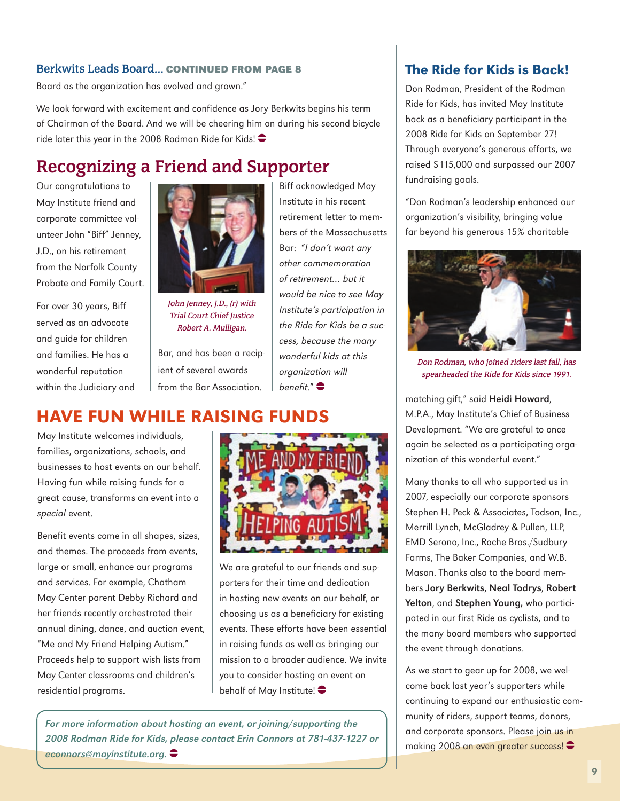#### **Berkwits Leads Board… Continued from page 8**

Board as the organization has evolved and grown."

We look forward with excitement and confidence as Jory Berkwits begins his term of Chairman of the Board. And we will be cheering him on during his second bicycle ride later this year in the 2008 Rodman Ride for Kids!  $\bullet$ 

## **Recognizing a Friend and Supporter**

Our congratulations to May Institute friend and corporate committee volunteer John "Biff" Jenney, J.D., on his retirement from the Norfolk County Probate and Family Court.

For over 30 years, Biff served as an advocate and guide for children and families. He has a wonderful reputation within the Judiciary and



John Jenney, J.D., (r) with Trial Court Chief Justice Robert A. Mulligan.

Bar, and has been a recipient of several awards from the Bar Association.

Biff acknowledged May Institute in his recent retirement letter to members of the Massachusetts Bar: "I don't want any other commemoration of retirement… but it would be nice to see May Institute's participation in the Ride for Kids be a success, because the many wonderful kids at this organization will benefit." $\bullet$ 

## Have Fun While Raising Funds

May Institute welcomes individuals, families, organizations, schools, and businesses to host events on our behalf. Having fun while raising funds for a great cause, transforms an event into a special event.

Benefit events come in all shapes, sizes, and themes. The proceeds from events, large or small, enhance our programs and services. For example, Chatham May Center parent Debby Richard and her friends recently orchestrated their annual dining, dance, and auction event, "Me and My Friend Helping Autism." Proceeds help to support wish lists from May Center classrooms and children's residential programs.



We are grateful to our friends and supporters for their time and dedication in hosting new events on our behalf, or choosing us as a beneficiary for existing events. These efforts have been essential in raising funds as well as bringing our mission to a broader audience. We invite you to consider hosting an event on behalf of May Institute!  $\bullet$ 

For more information about hosting an event, or joining/supporting the 2008 Rodman Ride for Kids, please contact Erin Connors at 781-437-1227 or econnors@mayinstitute.org.

#### The Ride for Kids is Back!

Don Rodman, President of the Rodman Ride for Kids, has invited May Institute back as a beneficiary participant in the 2008 Ride for Kids on September 27! Through everyone's generous efforts, we raised \$115,000 and surpassed our 2007 fundraising goals.

"Don Rodman's leadership enhanced our organization's visibility, bringing value far beyond his generous 15% charitable



Don Rodman, who joined riders last fall, has spearheaded the Ride for Kids since 1991.

matching gift," said Heidi Howard, M.P.A., May Institute's Chief of Business Development. "We are grateful to once again be selected as a participating organization of this wonderful event."

Many thanks to all who supported us in 2007, especially our corporate sponsors Stephen H. Peck & Associates, Todson, Inc., Merrill Lynch, McGladrey & Pullen, LLP, EMD Serono, Inc., Roche Bros./Sudbury Farms, The Baker Companies, and W.B. Mason. Thanks also to the board members Jory Berkwits, Neal Todrys, Robert Yelton, and Stephen Young, who participated in our first Ride as cyclists, and to the many board members who supported the event through donations.

As we start to gear up for 2008, we welcome back last year's supporters while continuing to expand our enthusiastic community of riders, support teams, donors, and corporate sponsors. Please join us in making 2008 an even greater success!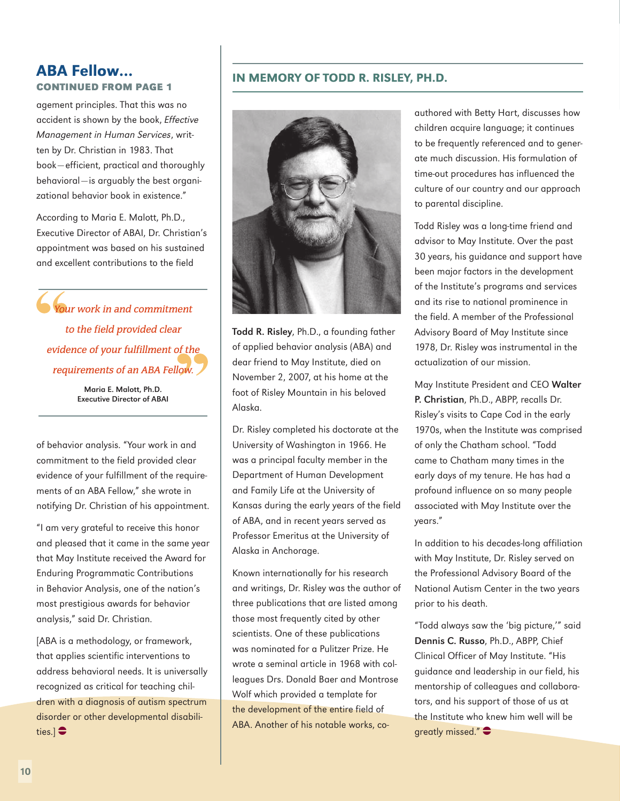#### ABA Fellow… **Continued from page 1**

agement principles. That this was no accident is shown by the book, Effective Management in Human Services, written by Dr. Christian in 1983. That book—efficient, practical and thoroughly behavioral—is arguably the best organizational behavior book in existence."

According to Maria E. Malott, Ph.D., Executive Director of ABAI, Dr. Christian's appointment was based on his sustained and excellent contributions to the field

Your work in and commitment to the field provided clear evidence of your fulfillment of the requirements of an ABA Fellow.

> Maria E. Malott, Ph.D. Executive Director of ABAI

of behavior analysis. "Your work in and commitment to the field provided clear evidence of your fulfillment of the requirements of an ABA Fellow," she wrote in notifying Dr. Christian of his appointment.

"I am very grateful to receive this honor and pleased that it came in the same year that May Institute received the Award for Enduring Programmatic Contributions in Behavior Analysis, one of the nation's most prestigious awards for behavior analysis," said Dr. Christian.

[ABA is a methodology, or framework, that applies scientific interventions to address behavioral needs. It is universally recognized as critical for teaching children with a diagnosis of autism spectrum disorder or other developmental disabilities.] $\bigoplus$ 

#### In Memory of Todd R. Risley, Ph.D.



Todd R. Risley, Ph.D., a founding father of applied behavior analysis (ABA) and dear friend to May Institute, died on November 2, 2007, at his home at the foot of Risley Mountain in his beloved Alaska.

Dr. Risley completed his doctorate at the University of Washington in 1966. He was a principal faculty member in the Department of Human Development and Family Life at the University of Kansas during the early years of the field of ABA, and in recent years served as Professor Emeritus at the University of Alaska in Anchorage.

Known internationally for his research and writings, Dr. Risley was the author of three publications that are listed among those most frequently cited by other scientists. One of these publications was nominated for a Pulitzer Prize. He wrote a seminal article in 1968 with colleagues Drs. Donald Baer and Montrose Wolf which provided a template for the development of the entire field of ABA. Another of his notable works, co-

authored with Betty Hart, discusses how children acquire language; it continues to be frequently referenced and to generate much discussion. His formulation of time-out procedures has influenced the culture of our country and our approach to parental discipline.

Todd Risley was a long-time friend and advisor to May Institute. Over the past 30 years, his guidance and support have been major factors in the development of the Institute's programs and services and its rise to national prominence in the field. A member of the Professional Advisory Board of May Institute since 1978, Dr. Risley was instrumental in the actualization of our mission.

May Institute President and CEO Walter P. Christian, Ph.D., ABPP, recalls Dr. Risley's visits to Cape Cod in the early 1970s, when the Institute was comprised of only the Chatham school. "Todd came to Chatham many times in the early days of my tenure. He has had a profound influence on so many people associated with May Institute over the years."

In addition to his decades-long affiliation with May Institute, Dr. Risley served on the Professional Advisory Board of the National Autism Center in the two years prior to his death.

"Todd always saw the 'big picture,'" said Dennis C. Russo, Ph.D., ABPP, Chief Clinical Officer of May Institute. "His guidance and leadership in our field, his mentorship of colleagues and collaborators, and his support of those of us at the Institute who knew him well will be areatly missed."  $\bullet$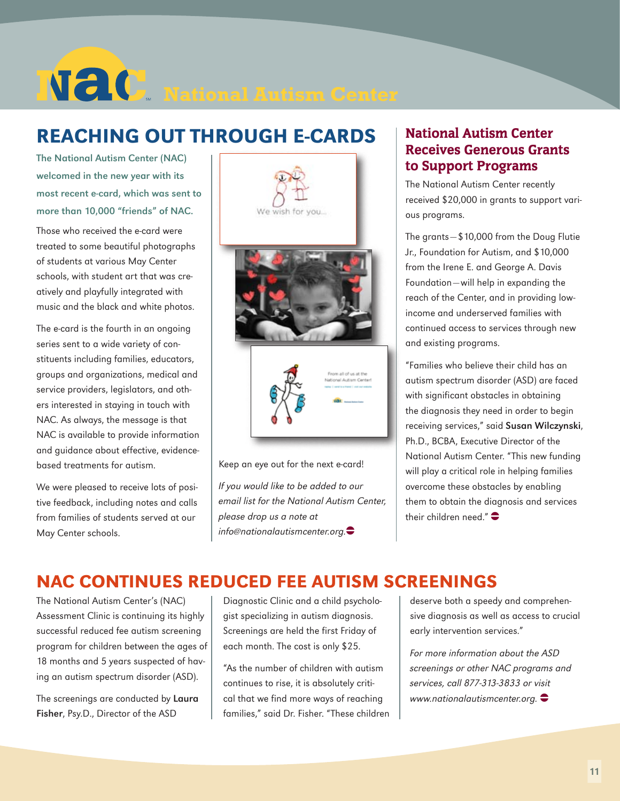# **National Autism Center**

## Reaching Out Through E-cards

The National Autism Center (NAC) welcomed in the new year with its most recent e-card, which was sent to more than 10,000 "friends" of NAC.

Those who received the e-card were treated to some beautiful photographs of students at various May Center schools, with student art that was creatively and playfully integrated with music and the black and white photos.

The e-card is the fourth in an ongoing series sent to a wide variety of constituents including families, educators, groups and organizations, medical and service providers, legislators, and others interested in staying in touch with NAC. As always, the message is that NAC is available to provide information and guidance about effective, evidencebased treatments for autism.

We were pleased to receive lots of positive feedback, including notes and calls from families of students served at our May Center schools.



Keep an eye out for the next e-card!

If you would like to be added to our email list for the National Autism Center, please drop us a note at  $info@$ nationalautismcenter.org. $\bigodot$ 

#### National Autism Center Receives Generous Grants to Support Programs

The National Autism Center recently received \$20,000 in grants to support various programs.

The grants—\$10,000 from the Doug Flutie Jr., Foundation for Autism, and \$10,000 from the Irene E. and George A. Davis Foundation—will help in expanding the reach of the Center, and in providing lowincome and underserved families with continued access to services through new and existing programs.

"Families who believe their child has an autism spectrum disorder (ASD) are faced with significant obstacles in obtaining the diagnosis they need in order to begin receiving services," said Susan Wilczynski, Ph.D., BCBA, Executive Director of the National Autism Center. "This new funding will play a critical role in helping families overcome these obstacles by enabling them to obtain the diagnosis and services their children need." $\bullet$ 

## NAC Continues Reduced Fee Autism Screenings

The National Autism Center's (NAC) Assessment Clinic is continuing its highly successful reduced fee autism screening program for children between the ages of 18 months and 5 years suspected of having an autism spectrum disorder (ASD).

The screenings are conducted by Laura Fisher, Psy.D., Director of the ASD

Diagnostic Clinic and a child psychologist specializing in autism diagnosis. Screenings are held the first Friday of each month. The cost is only \$25.

"As the number of children with autism continues to rise, it is absolutely critical that we find more ways of reaching families," said Dr. Fisher. "These children deserve both a speedy and comprehensive diagnosis as well as access to crucial early intervention services."

For more information about the ASD screenings or other NAC programs and services, call 877-313-3833 or visit www.nationalautismcenter.org.  $\bullet$